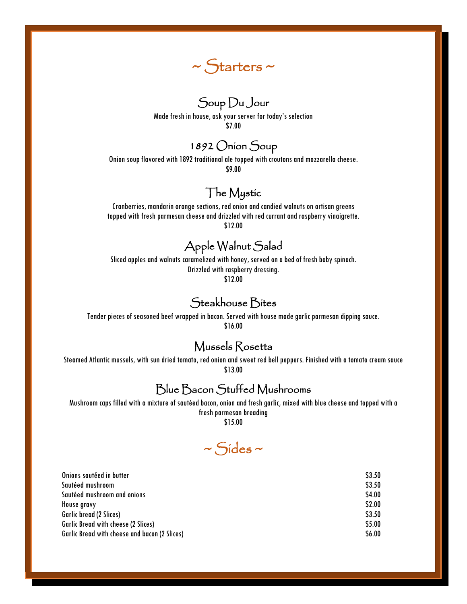

# Soup Du Jour

Made fresh in house, ask your server for today's selection \$7.00

## 1892 Onion Soup

Onion soup flavored with 1892 traditional ale topped with croutonsand mozzarella cheese. \$9.00

## The Mystic

Cranberries, mandarin orange sections, red onion and candied walnuts on artisan greens topped with fresh parmesan cheese and drizzled with red currant and raspberry vinaigrette. \$12.00

## Apple Walnut Salad

Sliced apples and walnuts caramelized with honey, served on a bed of fresh baby spinach. Drizzled with raspberry dressing. \$12.00

#### Steakhouse Bites

Tender pieces of seasoned beef wrapped in bacon. Served withhouse made garlic parmesan dipping sauce. \$16.00

#### Mussels Rosetta

Steamed Atlantic mussels, with sun dried tomato, red onion and sweet red bell peppers. Finished with a tomato cream sauce \$13.00

## Blue Bacon Stuffed Mushrooms

Mushroom caps filled with a mixture of sautéed bacon, onion and fresh garlic, mixed with blue cheese and topped with a fresh parmesan breading

\$15.00

 $~\sim$  Sides  $~\sim$ 

| Onions sautéed in butter                      | \$3.50 |
|-----------------------------------------------|--------|
| Sautéed mushroom                              | \$3.50 |
| Sautéed mushroom and onions                   | \$4.00 |
| House gravy                                   | \$2.00 |
| Garlic bread (2 Slices)                       | \$3.50 |
| Garlic Bread with cheese (2 Slices)           | \$5.00 |
| Garlic Bread with cheese and bacon (2 Slices) | \$6.00 |